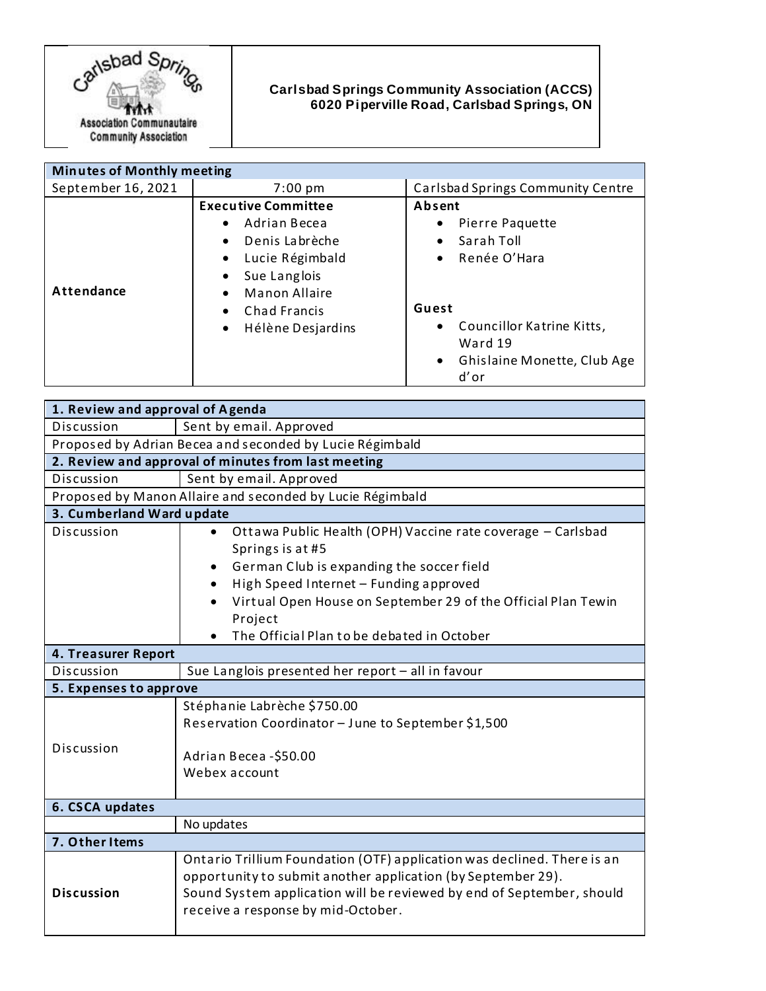

## **Carlsbad Springs Community Association (ACCS) 6020 Piperville Road, Carlsbad Springs, ON**

| <b>Minutes of Monthly meeting</b> |                                                                                                                                                                    |                                                                                                                                                                                          |
|-----------------------------------|--------------------------------------------------------------------------------------------------------------------------------------------------------------------|------------------------------------------------------------------------------------------------------------------------------------------------------------------------------------------|
| September 16, 2021                | $7:00 \text{ pm}$                                                                                                                                                  | Carlsbad Springs Community Centre                                                                                                                                                        |
| Attendance                        | <b>Executive Committee</b><br>Adrian Becea<br>Denis Labrèche<br>Lucie Régimbald<br>Sue Langlois<br>Manon Allaire<br>Chad Francis<br>Hélène Desjardins<br>$\bullet$ | Absent<br>Pierre Paquette<br>٠<br>Sarah Toll<br>٠<br>Renée O'Hara<br>$\bullet$<br>Guest<br>Councillor Katrine Kitts,<br>٠<br>Ward 19<br>Ghislaine Monette, Club Age<br>$\bullet$<br>d'or |

| 1. Review and approval of Agenda                          |                                                                                              |  |
|-----------------------------------------------------------|----------------------------------------------------------------------------------------------|--|
| Discussion                                                | Sent by email. Approved                                                                      |  |
| Proposed by Adrian Becea and seconded by Lucie Régimbald  |                                                                                              |  |
| 2. Review and approval of minutes from last meeting       |                                                                                              |  |
| Discussion                                                | Sent by email. Approved                                                                      |  |
| Proposed by Manon Allaire and seconded by Lucie Régimbald |                                                                                              |  |
| 3. Cumberland Ward update                                 |                                                                                              |  |
| Discussion                                                | Ottawa Public Health (OPH) Vaccine rate coverage - Carlsbad<br>$\bullet$<br>Springs is at #5 |  |
|                                                           | German Club is expanding the soccer field                                                    |  |
|                                                           | High Speed Internet - Funding approved                                                       |  |
|                                                           | Virtual Open House on September 29 of the Official Plan Tewin<br>Project                     |  |
|                                                           | The Official Plan to be debated in October                                                   |  |
| 4. Treasurer Report                                       |                                                                                              |  |
| Discussion                                                | Sue Langlois presented her report - all in favour                                            |  |
| 5. Expenses to approve                                    |                                                                                              |  |
|                                                           | Stéphanie Labrèche \$750.00                                                                  |  |
|                                                           | Reservation Coordinator - June to September \$1,500                                          |  |
| Discussion                                                | Adrian Becea - \$50.00                                                                       |  |
|                                                           | Webex account                                                                                |  |
|                                                           |                                                                                              |  |
| 6. CSCA updates                                           |                                                                                              |  |
|                                                           | No updates                                                                                   |  |
| 7. Other Items                                            |                                                                                              |  |
|                                                           | Ontario Trillium Foundation (OTF) application was declined. There is an                      |  |
|                                                           | opportunity to submit another application (by September 29).                                 |  |
| <b>Discussion</b>                                         | Sound System application will be reviewed by end of September, should                        |  |
|                                                           | receive a response by mid-October.                                                           |  |
|                                                           |                                                                                              |  |